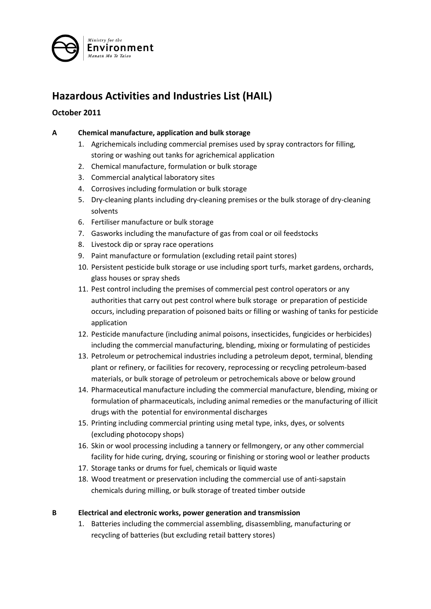

# **Hazardous Activities and Industries List (HAIL)**

# **October 2011**

### **A Chemical manufacture, application and bulk storage**

- 1. Agrichemicals including commercial premises used by spray contractors for filling, storing or washing out tanks for agrichemical application
- 2. Chemical manufacture, formulation or bulk storage
- 3. Commercial analytical laboratory sites
- 4. Corrosives including formulation or bulk storage
- 5. Dry-cleaning plants including dry-cleaning premises or the bulk storage of dry-cleaning solvents
- 6. Fertiliser manufacture or bulk storage
- 7. Gasworks including the manufacture of gas from coal or oil feedstocks
- 8. Livestock dip or spray race operations
- 9. Paint manufacture or formulation (excluding retail paint stores)
- 10. Persistent pesticide bulk storage or use including sport turfs, market gardens, orchards, glass houses or spray sheds
- 11. Pest control including the premises of commercial pest control operators or any authorities that carry out pest control where bulk storage or preparation of pesticide occurs, including preparation of poisoned baits or filling or washing of tanks for pesticide application
- 12. Pesticide manufacture (including animal poisons, insecticides, fungicides or herbicides) including the commercial manufacturing, blending, mixing or formulating of pesticides
- 13. Petroleum or petrochemical industries including a petroleum depot, terminal, blending plant or refinery, or facilities for recovery, reprocessing or recycling petroleum-based materials, or bulk storage of petroleum or petrochemicals above or below ground
- 14. Pharmaceutical manufacture including the commercial manufacture, blending, mixing or formulation of pharmaceuticals, including animal remedies or the manufacturing of illicit drugs with the potential for environmental discharges
- 15. Printing including commercial printing using metal type, inks, dyes, or solvents (excluding photocopy shops)
- 16. Skin or wool processing including a tannery or fellmongery, or any other commercial facility for hide curing, drying, scouring or finishing or storing wool or leather products
- 17. Storage tanks or drums for fuel, chemicals or liquid waste
- 18. Wood treatment or preservation including the commercial use of anti-sapstain chemicals during milling, or bulk storage of treated timber outside

#### **B Electrical and electronic works, power generation and transmission**

1. Batteries including the commercial assembling, disassembling, manufacturing or recycling of batteries (but excluding retail battery stores)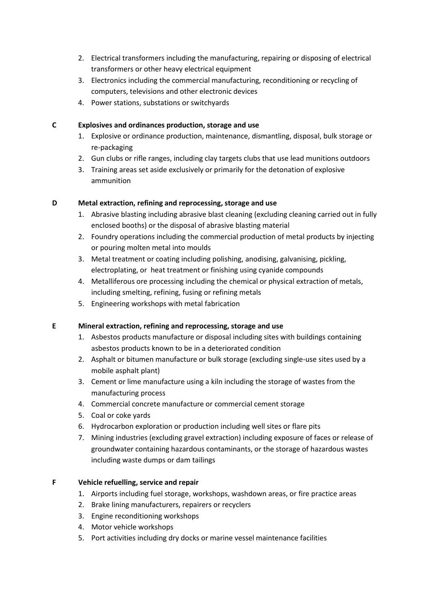- 2. Electrical transformers including the manufacturing, repairing or disposing of electrical transformers or other heavy electrical equipment
- 3. Electronics including the commercial manufacturing, reconditioning or recycling of computers, televisions and other electronic devices
- 4. Power stations, substations or switchyards

#### **C Explosives and ordinances production, storage and use**

- 1. Explosive or ordinance production, maintenance, dismantling, disposal, bulk storage or re-packaging
- 2. Gun clubs or rifle ranges, including clay targets clubs that use lead munitions outdoors
- 3. Training areas set aside exclusively or primarily for the detonation of explosive ammunition

#### **D Metal extraction, refining and reprocessing, storage and use**

- 1. Abrasive blasting including abrasive blast cleaning (excluding cleaning carried out in fully enclosed booths) or the disposal of abrasive blasting material
- 2. Foundry operations including the commercial production of metal products by injecting or pouring molten metal into moulds
- 3. Metal treatment or coating including polishing, anodising, galvanising, pickling, electroplating, or heat treatment or finishing using cyanide compounds
- 4. Metalliferous ore processing including the chemical or physical extraction of metals, including smelting, refining, fusing or refining metals
- 5. Engineering workshops with metal fabrication

#### **E Mineral extraction, refining and reprocessing, storage and use**

- 1. Asbestos products manufacture or disposal including sites with buildings containing asbestos products known to be in a deteriorated condition
- 2. Asphalt or bitumen manufacture or bulk storage (excluding single-use sites used by a mobile asphalt plant)
- 3. Cement or lime manufacture using a kiln including the storage of wastes from the manufacturing process
- 4. Commercial concrete manufacture or commercial cement storage
- 5. Coal or coke yards
- 6. Hydrocarbon exploration or production including well sites or flare pits
- 7. Mining industries (excluding gravel extraction) including exposure of faces or release of groundwater containing hazardous contaminants, or the storage of hazardous wastes including waste dumps or dam tailings

## **F Vehicle refuelling, service and repair**

- 1. Airports including fuel storage, workshops, washdown areas, or fire practice areas
- 2. Brake lining manufacturers, repairers or recyclers
- 3. Engine reconditioning workshops
- 4. Motor vehicle workshops
- 5. Port activities including dry docks or marine vessel maintenance facilities